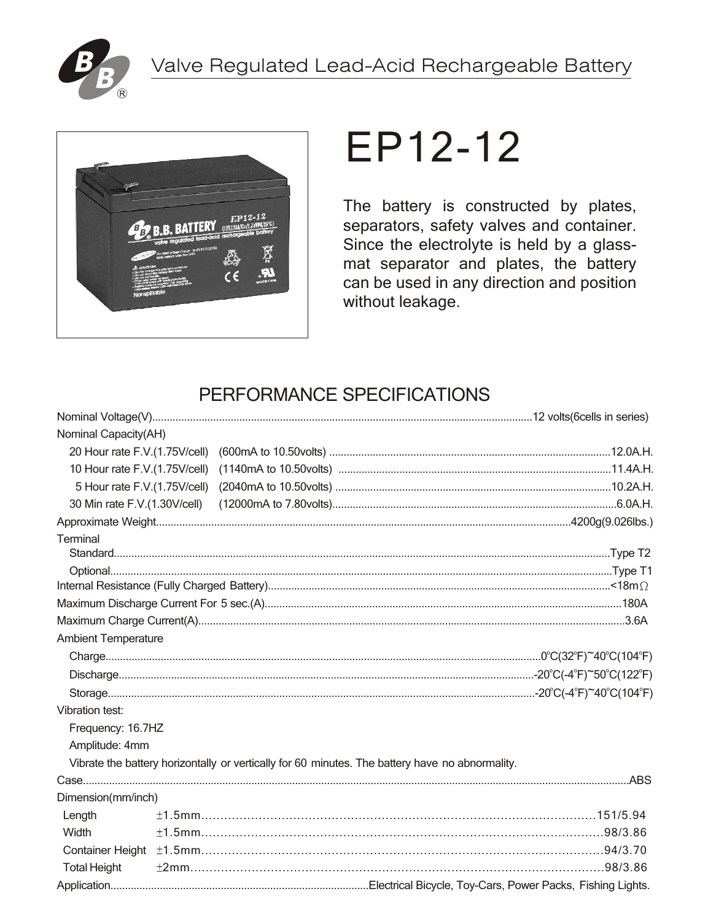



# EP12-12

The battery is constructed by plates, separators, safety valves and container. Since the electrolyte is held by a glassmat separator and plates, the battery can be used in any direction and position without leakage.

# PERFORMANCE SPECIFICATIONS

| Nominal Capacity(AH)          |  |                                                                                                 |  |  |  |  |
|-------------------------------|--|-------------------------------------------------------------------------------------------------|--|--|--|--|
|                               |  |                                                                                                 |  |  |  |  |
| 10 Hour rate F.V.(1.75V/cell) |  |                                                                                                 |  |  |  |  |
| 5 Hour rate F.V.(1.75V/cell)  |  |                                                                                                 |  |  |  |  |
| 30 Min rate F.V.(1.30V/cell)  |  |                                                                                                 |  |  |  |  |
|                               |  |                                                                                                 |  |  |  |  |
| Terminal                      |  |                                                                                                 |  |  |  |  |
|                               |  |                                                                                                 |  |  |  |  |
|                               |  |                                                                                                 |  |  |  |  |
|                               |  |                                                                                                 |  |  |  |  |
|                               |  |                                                                                                 |  |  |  |  |
|                               |  |                                                                                                 |  |  |  |  |
| <b>Ambient Temperature</b>    |  |                                                                                                 |  |  |  |  |
|                               |  |                                                                                                 |  |  |  |  |
|                               |  |                                                                                                 |  |  |  |  |
|                               |  |                                                                                                 |  |  |  |  |
| Vibration test:               |  |                                                                                                 |  |  |  |  |
| Frequency: 16.7HZ             |  |                                                                                                 |  |  |  |  |
| Amplitude: 4mm                |  |                                                                                                 |  |  |  |  |
|                               |  | Vibrate the battery horizontally or vertically for 60 minutes. The battery have no abnormality. |  |  |  |  |
|                               |  |                                                                                                 |  |  |  |  |
| Dimension(mm/inch)            |  |                                                                                                 |  |  |  |  |
| Length                        |  |                                                                                                 |  |  |  |  |
| Width                         |  |                                                                                                 |  |  |  |  |
| <b>Container Height</b>       |  |                                                                                                 |  |  |  |  |
| <b>Total Height</b>           |  |                                                                                                 |  |  |  |  |
|                               |  |                                                                                                 |  |  |  |  |